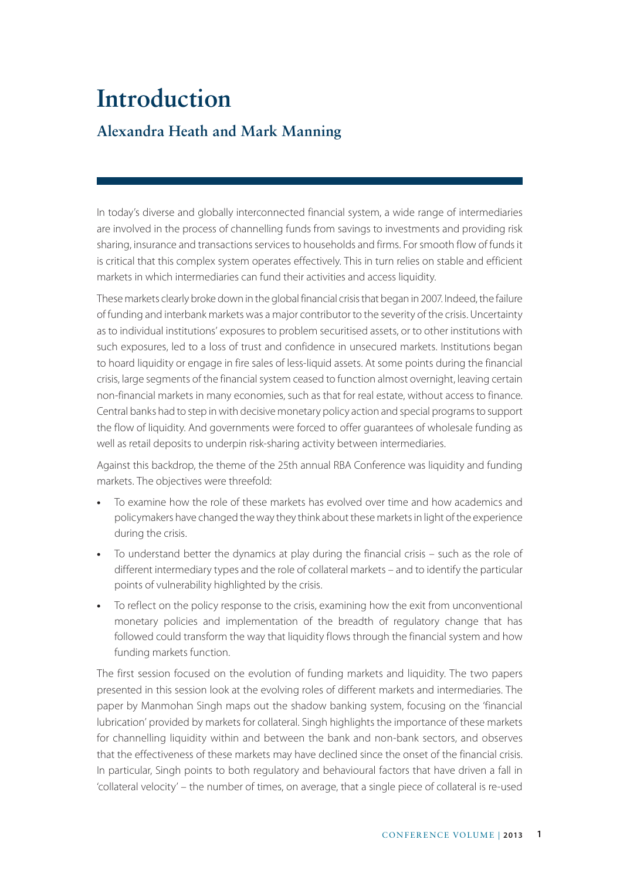## **Introduction Alexandra Heath and Mark Manning**

In today's diverse and globally interconnected financial system, a wide range of intermediaries are involved in the process of channelling funds from savings to investments and providing risk sharing, insurance and transactions services to households and firms. For smooth flow of funds it is critical that this complex system operates effectively. This in turn relies on stable and efficient markets in which intermediaries can fund their activities and access liquidity.

These markets clearly broke down in the global financial crisis that began in 2007. Indeed, the failure of funding and interbank markets was a major contributor to the severity of the crisis. Uncertainty as to individual institutions' exposures to problem securitised assets, or to other institutions with such exposures, led to a loss of trust and confidence in unsecured markets. Institutions began to hoard liquidity or engage in fire sales of less-liquid assets. At some points during the financial crisis, large segments of the financial system ceased to function almost overnight, leaving certain non-financial markets in many economies, such as that for real estate, without access to finance. Central banks had to step in with decisive monetary policy action and special programs to support the flow of liquidity. And governments were forced to offer guarantees of wholesale funding as well as retail deposits to underpin risk-sharing activity between intermediaries.

Against this backdrop, the theme of the 25th annual RBA Conference was liquidity and funding markets. The objectives were threefold:

- **•** To examine how the role of these markets has evolved over time and how academics and policymakers have changed the way they think about these markets in light of the experience during the crisis.
- **•** To understand better the dynamics at play during the financial crisis such as the role of different intermediary types and the role of collateral markets – and to identify the particular points of vulnerability highlighted by the crisis.
- **•** To reflect on the policy response to the crisis, examining how the exit from unconventional monetary policies and implementation of the breadth of regulatory change that has followed could transform the way that liquidity flows through the financial system and how funding markets function.

The first session focused on the evolution of funding markets and liquidity. The two papers presented in this session look at the evolving roles of different markets and intermediaries. The paper by Manmohan Singh maps out the shadow banking system, focusing on the 'financial lubrication' provided by markets for collateral. Singh highlights the importance of these markets for channelling liquidity within and between the bank and non-bank sectors, and observes that the effectiveness of these markets may have declined since the onset of the financial crisis. In particular, Singh points to both regulatory and behavioural factors that have driven a fall in 'collateral velocity' – the number of times, on average, that a single piece of collateral is re-used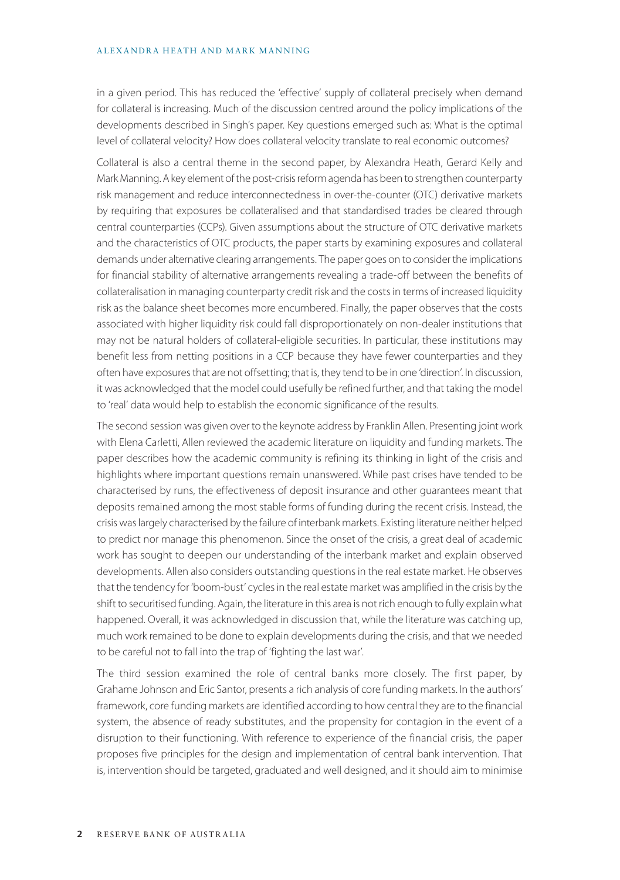## ALEXANDRA HEATH AND MARK MANNING

in a given period. This has reduced the 'effective' supply of collateral precisely when demand for collateral is increasing. Much of the discussion centred around the policy implications of the developments described in Singh's paper. Key questions emerged such as: What is the optimal level of collateral velocity? How does collateral velocity translate to real economic outcomes?

Collateral is also a central theme in the second paper, by Alexandra Heath, Gerard Kelly and Mark Manning. A key element of the post-crisis reform agenda has been to strengthen counterparty risk management and reduce interconnectedness in over-the-counter (OTC) derivative markets by requiring that exposures be collateralised and that standardised trades be cleared through central counterparties (CCPs). Given assumptions about the structure of OTC derivative markets and the characteristics of OTC products, the paper starts by examining exposures and collateral demands under alternative clearing arrangements. The paper goes on to consider the implications for financial stability of alternative arrangements revealing a trade-off between the benefits of collateralisation in managing counterparty credit risk and the costs in terms of increased liquidity risk as the balance sheet becomes more encumbered. Finally, the paper observes that the costs associated with higher liquidity risk could fall disproportionately on non-dealer institutions that may not be natural holders of collateral-eligible securities. In particular, these institutions may benefit less from netting positions in a CCP because they have fewer counterparties and they often have exposures that are not offsetting; that is, they tend to be in one 'direction'. In discussion, it was acknowledged that the model could usefully be refined further, and that taking the model to 'real' data would help to establish the economic significance of the results.

The second session was given over to the keynote address by Franklin Allen. Presenting joint work with Elena Carletti, Allen reviewed the academic literature on liquidity and funding markets. The paper describes how the academic community is refining its thinking in light of the crisis and highlights where important questions remain unanswered. While past crises have tended to be characterised by runs, the effectiveness of deposit insurance and other guarantees meant that deposits remained among the most stable forms of funding during the recent crisis. Instead, the crisis was largely characterised by the failure of interbank markets. Existing literature neither helped to predict nor manage this phenomenon. Since the onset of the crisis, a great deal of academic work has sought to deepen our understanding of the interbank market and explain observed developments. Allen also considers outstanding questions in the real estate market. He observes that the tendency for 'boom-bust' cycles in the real estate market was amplified in the crisis by the shift to securitised funding. Again, the literature in this area is not rich enough to fully explain what happened. Overall, it was acknowledged in discussion that, while the literature was catching up, much work remained to be done to explain developments during the crisis, and that we needed to be careful not to fall into the trap of 'fighting the last war'.

The third session examined the role of central banks more closely. The first paper, by Grahame Johnson and Eric Santor, presents a rich analysis of core funding markets. In the authors' framework, core funding markets are identified according to how central they are to the financial system, the absence of ready substitutes, and the propensity for contagion in the event of a disruption to their functioning. With reference to experience of the financial crisis, the paper proposes five principles for the design and implementation of central bank intervention. That is, intervention should be targeted, graduated and well designed, and it should aim to minimise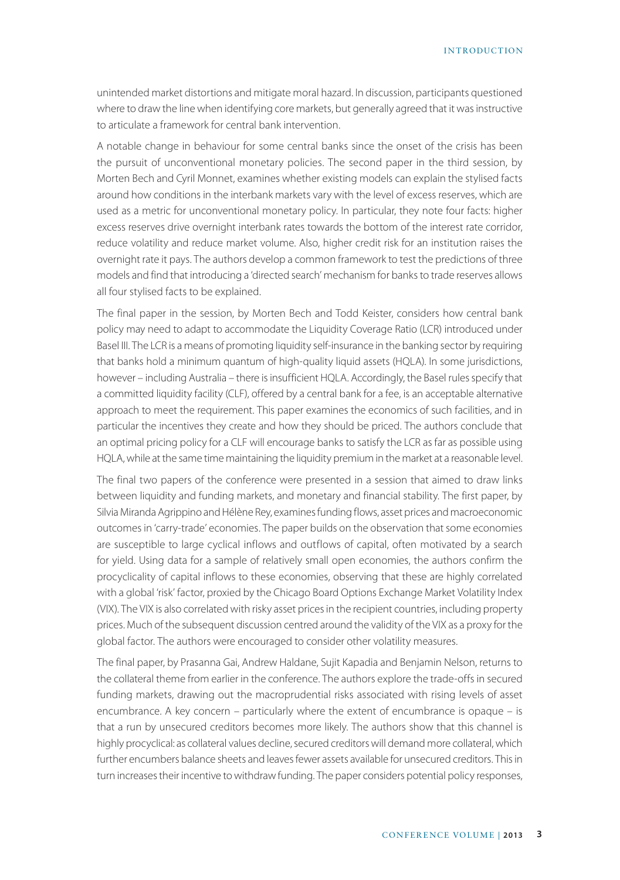INTRODUCTION

unintended market distortions and mitigate moral hazard. In discussion, participants questioned where to draw the line when identifying core markets, but generally agreed that it was instructive to articulate a framework for central bank intervention.

A notable change in behaviour for some central banks since the onset of the crisis has been the pursuit of unconventional monetary policies. The second paper in the third session, by Morten Bech and Cyril Monnet, examines whether existing models can explain the stylised facts around how conditions in the interbank markets vary with the level of excess reserves, which are used as a metric for unconventional monetary policy. In particular, they note four facts: higher excess reserves drive overnight interbank rates towards the bottom of the interest rate corridor, reduce volatility and reduce market volume. Also, higher credit risk for an institution raises the overnight rate it pays. The authors develop a common framework to test the predictions of three models and find that introducing a 'directed search' mechanism for banks to trade reserves allows all four stylised facts to be explained.

The final paper in the session, by Morten Bech and Todd Keister, considers how central bank policy may need to adapt to accommodate the Liquidity Coverage Ratio (LCR) introduced under Basel III. The LCR is a means of promoting liquidity self-insurance in the banking sector by requiring that banks hold a minimum quantum of high-quality liquid assets (HQLA). In some jurisdictions, however – including Australia – there is insufficient HQLA. Accordingly, the Basel rules specify that a committed liquidity facility (CLF), offered by a central bank for a fee, is an acceptable alternative approach to meet the requirement. This paper examines the economics of such facilities, and in particular the incentives they create and how they should be priced. The authors conclude that an optimal pricing policy for a CLF will encourage banks to satisfy the LCR as far as possible using HQLA, while at the same time maintaining the liquidity premium in the market at a reasonable level.

The final two papers of the conference were presented in a session that aimed to draw links between liquidity and funding markets, and monetary and financial stability. The first paper, by Silvia Miranda Agrippino and Hélène Rey, examines funding flows, asset prices and macroeconomic outcomes in 'carry-trade' economies. The paper builds on the observation that some economies are susceptible to large cyclical inflows and outflows of capital, often motivated by a search for yield. Using data for a sample of relatively small open economies, the authors confirm the procyclicality of capital inflows to these economies, observing that these are highly correlated with a global 'risk' factor, proxied by the Chicago Board Options Exchange Market Volatility Index (VIX). The VIX is also correlated with risky asset prices in the recipient countries, including property prices. Much of the subsequent discussion centred around the validity of the VIX as a proxy for the global factor. The authors were encouraged to consider other volatility measures.

The final paper, by Prasanna Gai, Andrew Haldane, Sujit Kapadia and Benjamin Nelson, returns to the collateral theme from earlier in the conference. The authors explore the trade-offs in secured funding markets, drawing out the macroprudential risks associated with rising levels of asset encumbrance. A key concern – particularly where the extent of encumbrance is opaque – is that a run by unsecured creditors becomes more likely. The authors show that this channel is highly procyclical: as collateral values decline, secured creditors will demand more collateral, which further encumbers balance sheets and leaves fewer assets available for unsecured creditors. This in turn increases their incentive to withdraw funding. The paper considers potential policy responses,